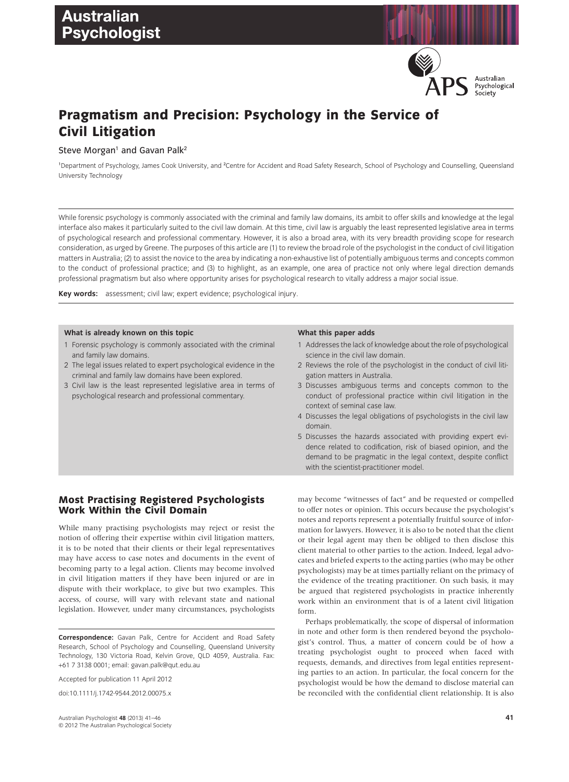

# **Pragmatism and Precision: Psychology in the Service of Civil Litigation**

### Steve Morgan<sup>1</sup> and Gavan Palk<sup>2</sup>

<sup>1</sup>Department of Psychology, James Cook University, and <sup>2</sup>Centre for Accident and Road Safety Research, School of Psychology and Counselling, Queensland University Technology

While forensic psychology is commonly associated with the criminal and family law domains, its ambit to offer skills and knowledge at the legal interface also makes it particularly suited to the civil law domain. At this time, civil law is arguably the least represented legislative area in terms of psychological research and professional commentary. However, it is also a broad area, with its very breadth providing scope for research consideration, as urged by Greene. The purposes of this article are (1) to review the broad role of the psychologist in the conduct of civil litigation matters in Australia; (2) to assist the novice to the area by indicating a non-exhaustive list of potentially ambiguous terms and concepts common to the conduct of professional practice; and (3) to highlight, as an example, one area of practice not only where legal direction demands professional pragmatism but also where opportunity arises for psychological research to vitally address a major social issue.

**Key words:** assessment; civil law; expert evidence; psychological injury.

#### **What is already known on this topic**

- 1 Forensic psychology is commonly associated with the criminal and family law domains.
- 2 The legal issues related to expert psychological evidence in the criminal and family law domains have been explored.
- 3 Civil law is the least represented legislative area in terms of psychological research and professional commentary.

#### **What this paper adds**

- 1 Addresses the lack of knowledge about the role of psychological science in the civil law domain.
- 2 Reviews the role of the psychologist in the conduct of civil litigation matters in Australia.
- 3 Discusses ambiguous terms and concepts common to the conduct of professional practice within civil litigation in the context of seminal case law.
- 4 Discusses the legal obligations of psychologists in the civil law domain.
- 5 Discusses the hazards associated with providing expert evidence related to codification, risk of biased opinion, and the demand to be pragmatic in the legal context, despite conflict with the scientist-practitioner model.

## **Most Practising Registered Psychologists Work Within the Civil Domain**

While many practising psychologists may reject or resist the notion of offering their expertise within civil litigation matters, it is to be noted that their clients or their legal representatives may have access to case notes and documents in the event of becoming party to a legal action. Clients may become involved in civil litigation matters if they have been injured or are in dispute with their workplace, to give but two examples. This access, of course, will vary with relevant state and national legislation. However, under many circumstances, psychologists

**Correspondence:** Gavan Palk, Centre for Accident and Road Safety Research, School of Psychology and Counselling, Queensland University Technology, 130 Victoria Road, Kelvin Grove, QLD 4059, Australia. Fax: +61 7 3138 0001; email: gavan.palk@qut.edu.au

Accepted for publication 11 April 2012

doi:10.1111/j.1742-9544.2012.00075.x

may become "witnesses of fact" and be requested or compelled to offer notes or opinion. This occurs because the psychologist's notes and reports represent a potentially fruitful source of information for lawyers. However, it is also to be noted that the client or their legal agent may then be obliged to then disclose this client material to other parties to the action. Indeed, legal advocates and briefed experts to the acting parties (who may be other psychologists) may be at times partially reliant on the primacy of the evidence of the treating practitioner. On such basis, it may be argued that registered psychologists in practice inherently work within an environment that is of a latent civil litigation form.

Perhaps problematically, the scope of dispersal of information in note and other form is then rendered beyond the psychologist's control. Thus, a matter of concern could be of how a treating psychologist ought to proceed when faced with requests, demands, and directives from legal entities representing parties to an action. In particular, the focal concern for the psychologist would be how the demand to disclose material can be reconciled with the confidential client relationship. It is also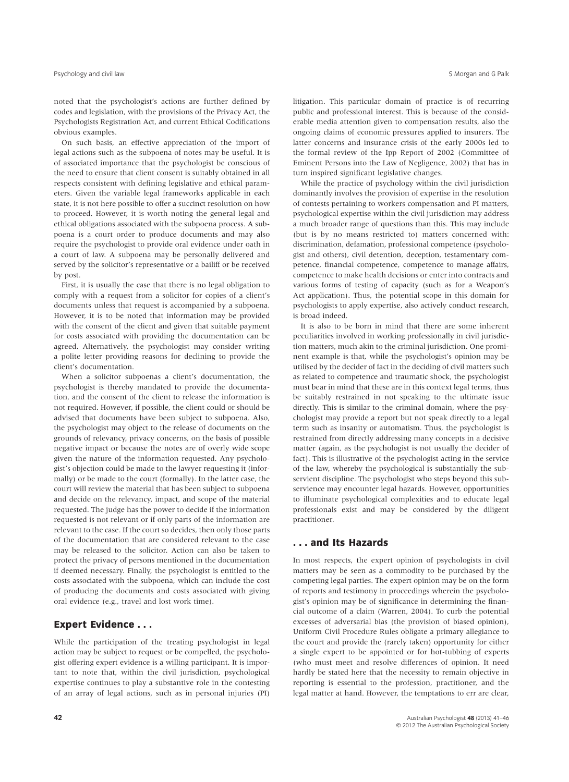noted that the psychologist's actions are further defined by codes and legislation, with the provisions of the Privacy Act, the Psychologists Registration Act, and current Ethical Codifications obvious examples.

On such basis, an effective appreciation of the import of legal actions such as the subpoena of notes may be useful. It is of associated importance that the psychologist be conscious of the need to ensure that client consent is suitably obtained in all respects consistent with defining legislative and ethical parameters. Given the variable legal frameworks applicable in each state, it is not here possible to offer a succinct resolution on how to proceed. However, it is worth noting the general legal and ethical obligations associated with the subpoena process. A subpoena is a court order to produce documents and may also require the psychologist to provide oral evidence under oath in a court of law. A subpoena may be personally delivered and served by the solicitor's representative or a bailiff or be received by post.

First, it is usually the case that there is no legal obligation to comply with a request from a solicitor for copies of a client's documents unless that request is accompanied by a subpoena. However, it is to be noted that information may be provided with the consent of the client and given that suitable payment for costs associated with providing the documentation can be agreed. Alternatively, the psychologist may consider writing a polite letter providing reasons for declining to provide the client's documentation.

When a solicitor subpoenas a client's documentation, the psychologist is thereby mandated to provide the documentation, and the consent of the client to release the information is not required. However, if possible, the client could or should be advised that documents have been subject to subpoena. Also, the psychologist may object to the release of documents on the grounds of relevancy, privacy concerns, on the basis of possible negative impact or because the notes are of overly wide scope given the nature of the information requested. Any psychologist's objection could be made to the lawyer requesting it (informally) or be made to the court (formally). In the latter case, the court will review the material that has been subject to subpoena and decide on the relevancy, impact, and scope of the material requested. The judge has the power to decide if the information requested is not relevant or if only parts of the information are relevant to the case. If the court so decides, then only those parts of the documentation that are considered relevant to the case may be released to the solicitor. Action can also be taken to protect the privacy of persons mentioned in the documentation if deemed necessary. Finally, the psychologist is entitled to the costs associated with the subpoena, which can include the cost of producing the documents and costs associated with giving oral evidence (e.g., travel and lost work time).

## **Expert Evidence...**

While the participation of the treating psychologist in legal action may be subject to request or be compelled, the psychologist offering expert evidence is a willing participant. It is important to note that, within the civil jurisdiction, psychological expertise continues to play a substantive role in the contesting of an array of legal actions, such as in personal injuries (PI)

**42**

litigation. This particular domain of practice is of recurring public and professional interest. This is because of the considerable media attention given to compensation results, also the ongoing claims of economic pressures applied to insurers. The latter concerns and insurance crisis of the early 2000s led to the formal review of the Ipp Report of 2002 (Committee of Eminent Persons into the Law of Negligence, 2002) that has in turn inspired significant legislative changes.

While the practice of psychology within the civil jurisdiction dominantly involves the provision of expertise in the resolution of contests pertaining to workers compensation and PI matters, psychological expertise within the civil jurisdiction may address a much broader range of questions than this. This may include (but is by no means restricted to) matters concerned with: discrimination, defamation, professional competence (psychologist and others), civil detention, deception, testamentary competence, financial competence, competence to manage affairs, competence to make health decisions or enter into contracts and various forms of testing of capacity (such as for a Weapon's Act application). Thus, the potential scope in this domain for psychologists to apply expertise, also actively conduct research, is broad indeed.

It is also to be born in mind that there are some inherent peculiarities involved in working professionally in civil jurisdiction matters, much akin to the criminal jurisdiction. One prominent example is that, while the psychologist's opinion may be utilised by the decider of fact in the deciding of civil matters such as related to competence and traumatic shock, the psychologist must bear in mind that these are in this context legal terms, thus be suitably restrained in not speaking to the ultimate issue directly. This is similar to the criminal domain, where the psychologist may provide a report but not speak directly to a legal term such as insanity or automatism. Thus, the psychologist is restrained from directly addressing many concepts in a decisive matter (again, as the psychologist is not usually the decider of fact). This is illustrative of the psychologist acting in the service of the law, whereby the psychological is substantially the subservient discipline. The psychologist who steps beyond this subservience may encounter legal hazards. However, opportunities to illuminate psychological complexities and to educate legal professionals exist and may be considered by the diligent practitioner.

## **. . . and Its Hazards**

In most respects, the expert opinion of psychologists in civil matters may be seen as a commodity to be purchased by the competing legal parties. The expert opinion may be on the form of reports and testimony in proceedings wherein the psychologist's opinion may be of significance in determining the financial outcome of a claim (Warren, 2004). To curb the potential excesses of adversarial bias (the provision of biased opinion), Uniform Civil Procedure Rules obligate a primary allegiance to the court and provide the (rarely taken) opportunity for either a single expert to be appointed or for hot-tubbing of experts (who must meet and resolve differences of opinion. It need hardly be stated here that the necessity to remain objective in reporting is essential to the profession, practitioner, and the legal matter at hand. However, the temptations to err are clear,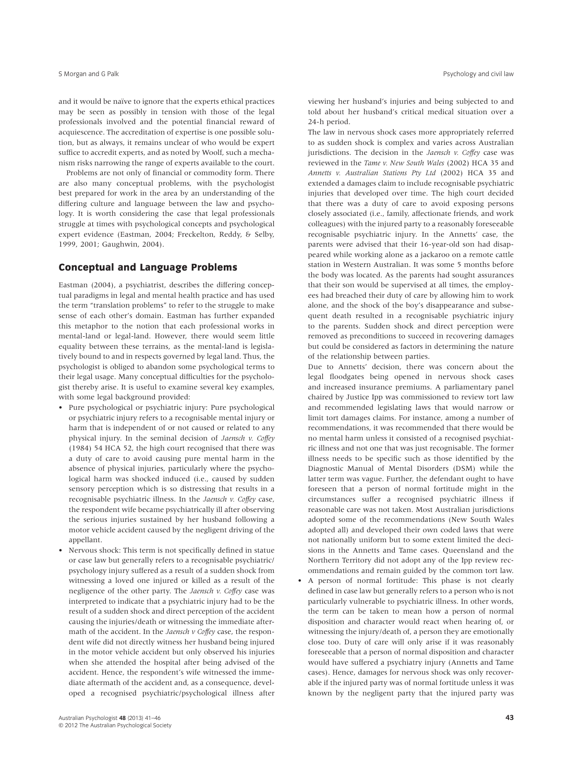and it would be naïve to ignore that the experts ethical practices may be seen as possibly in tension with those of the legal professionals involved and the potential financial reward of acquiescence. The accreditation of expertise is one possible solution, but as always, it remains unclear of who would be expert suffice to accredit experts, and as noted by Woolf, such a mechanism risks narrowing the range of experts available to the court.

Problems are not only of financial or commodity form. There are also many conceptual problems, with the psychologist best prepared for work in the area by an understanding of the differing culture and language between the law and psychology. It is worth considering the case that legal professionals struggle at times with psychological concepts and psychological expert evidence (Eastman, 2004; Freckelton, Reddy, & Selby, 1999, 2001; Gaughwin, 2004).

## **Conceptual and Language Problems**

Eastman (2004), a psychiatrist, describes the differing conceptual paradigms in legal and mental health practice and has used the term "translation problems" to refer to the struggle to make sense of each other's domain. Eastman has further expanded this metaphor to the notion that each professional works in mental-land or legal-land. However, there would seem little equality between these terrains, as the mental-land is legislatively bound to and in respects governed by legal land. Thus, the psychologist is obliged to abandon some psychological terms to their legal usage. Many conceptual difficulties for the psychologist thereby arise. It is useful to examine several key examples, with some legal background provided:

- Pure psychological or psychiatric injury: Pure psychological or psychiatric injury refers to a recognisable mental injury or harm that is independent of or not caused or related to any physical injury. In the seminal decision of *Jaensch v. Coffey* (1984) 54 HCA 52, the high court recognised that there was a duty of care to avoid causing pure mental harm in the absence of physical injuries, particularly where the psychological harm was shocked induced (i.e., caused by sudden sensory perception which is so distressing that results in a recognisable psychiatric illness. In the *Jaensch v. Coffey* case, the respondent wife became psychiatrically ill after observing the serious injuries sustained by her husband following a motor vehicle accident caused by the negligent driving of the appellant.
- Nervous shock: This term is not specifically defined in statue or case law but generally refers to a recognisable psychiatric/ psychology injury suffered as a result of a sudden shock from witnessing a loved one injured or killed as a result of the negligence of the other party. The *Jaensch v. Coffey* case was interpreted to indicate that a psychiatric injury had to be the result of a sudden shock and direct perception of the accident causing the injuries/death or witnessing the immediate aftermath of the accident. In the *Jaensch v Coffey* case, the respondent wife did not directly witness her husband being injured in the motor vehicle accident but only observed his injuries when she attended the hospital after being advised of the accident. Hence, the respondent's wife witnessed the immediate aftermath of the accident and, as a consequence, developed a recognised psychiatric/psychological illness after

viewing her husband's injuries and being subjected to and told about her husband's critical medical situation over a 24-h period.

The law in nervous shock cases more appropriately referred to as sudden shock is complex and varies across Australian jurisdictions. The decision in the *Jaensch v. Coffey* case was reviewed in the *Tame v. New South Wales* (2002) HCA 35 and *Annetts v. Australian Stations Pty Ltd* (2002) HCA 35 and extended a damages claim to include recognisable psychiatric injuries that developed over time. The high court decided that there was a duty of care to avoid exposing persons closely associated (i.e., family, affectionate friends, and work colleagues) with the injured party to a reasonably foreseeable recognisable psychiatric injury. In the Annetts' case, the parents were advised that their 16-year-old son had disappeared while working alone as a jackaroo on a remote cattle station in Western Australian. It was some 5 months before the body was located. As the parents had sought assurances that their son would be supervised at all times, the employees had breached their duty of care by allowing him to work alone, and the shock of the boy's disappearance and subsequent death resulted in a recognisable psychiatric injury to the parents. Sudden shock and direct perception were removed as preconditions to succeed in recovering damages but could be considered as factors in determining the nature of the relationship between parties.

Due to Annetts' decision, there was concern about the legal floodgates being opened in nervous shock cases and increased insurance premiums. A parliamentary panel chaired by Justice Ipp was commissioned to review tort law and recommended legislating laws that would narrow or limit tort damages claims. For instance, among a number of recommendations, it was recommended that there would be no mental harm unless it consisted of a recognised psychiatric illness and not one that was just recognisable. The former illness needs to be specific such as those identified by the Diagnostic Manual of Mental Disorders (DSM) while the latter term was vague. Further, the defendant ought to have foreseen that a person of normal fortitude might in the circumstances suffer a recognised psychiatric illness if reasonable care was not taken. Most Australian jurisdictions adopted some of the recommendations (New South Wales adopted all) and developed their own coded laws that were not nationally uniform but to some extent limited the decisions in the Annetts and Tame cases. Queensland and the Northern Territory did not adopt any of the Ipp review recommendations and remain guided by the common tort law.

• A person of normal fortitude: This phase is not clearly defined in case law but generally refers to a person who is not particularly vulnerable to psychiatric illness. In other words, the term can be taken to mean how a person of normal disposition and character would react when hearing of, or witnessing the injury/death of, a person they are emotionally close too. Duty of care will only arise if it was reasonably foreseeable that a person of normal disposition and character would have suffered a psychiatry injury (Annetts and Tame cases). Hence, damages for nervous shock was only recoverable if the injured party was of normal fortitude unless it was known by the negligent party that the injured party was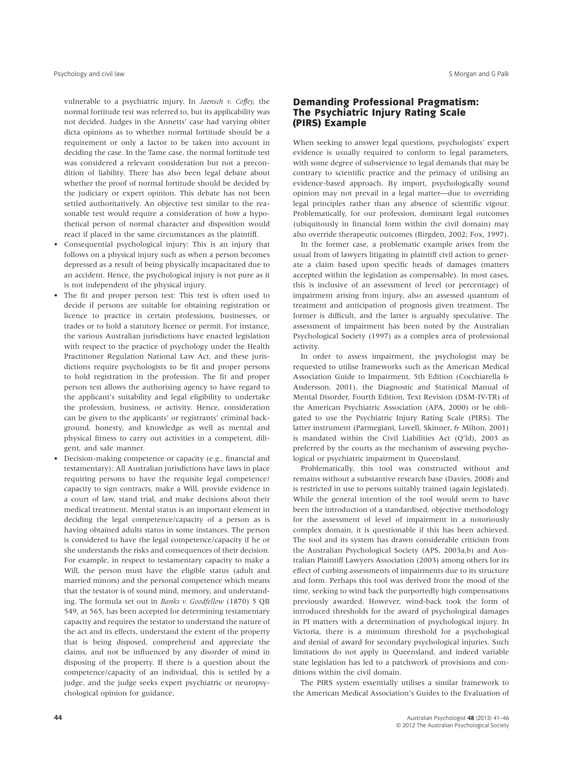vulnerable to a psychiatric injury. In *Jaensch v. Coffey,* the normal fortitude test was referred to, but its applicability was not decided. Judges in the Annetts' case had varying obiter dicta opinions as to whether normal fortitude should be a requirement or only a factor to be taken into account in deciding the case. In the Tame case, the normal fortitude test was considered a relevant consideration but not a precondition of liability. There has also been legal debate about whether the proof of normal fortitude should be decided by the judiciary or expert opinion. This debate has not been settled authoritatively. An objective test similar to the reasonable test would require a consideration of how a hypothetical person of normal character and disposition would react if placed in the same circumstances as the plaintiff.

- Consequential psychological injury: This is an injury that follows on a physical injury such as when a person becomes depressed as a result of being physically incapacitated due to an accident. Hence, the psychological injury is not pure as it is not independent of the physical injury.
- The fit and proper person test: This test is often used to decide if persons are suitable for obtaining registration or licence to practice in certain professions, businesses, or trades or to hold a statutory licence or permit. For instance, the various Australian jurisdictions have enacted legislation with respect to the practice of psychology under the Health Practitioner Regulation National Law Act, and these jurisdictions require psychologists to be fit and proper persons to hold registration in the profession. The fit and proper person test allows the authorising agency to have regard to the applicant's suitability and legal eligibility to undertake the profession, business, or activity. Hence, consideration can be given to the applicants' or registrants' criminal background, honesty, and knowledge as well as mental and physical fitness to carry out activities in a competent, diligent, and safe manner.
- Decision-making competence or capacity (e.g., financial and testamentary): All Australian jurisdictions have laws in place requiring persons to have the requisite legal competence/ capacity to sign contracts, make a Will, provide evidence in a court of law, stand trial, and make decisions about their medical treatment. Mental status is an important element in deciding the legal competence/capacity of a person as is having obtained adults status in some instances. The person is considered to have the legal competence/capacity if he or she understands the risks and consequences of their decision. For example, in respect to testamentary capacity to make a Will, the person must have the eligible status (adult and married minors) and the personal competence which means that the testator is of sound mind, memory, and understanding. The formula set out in *Banks v. Goodfellow* (1870) 5 QB 549, at 565, has been accepted for determining testamentary capacity and requires the testator to understand the nature of the act and its effects, understand the extent of the property that is being disposed, comprehend and appreciate the claims, and not be influenced by any disorder of mind in disposing of the property. If there is a question about the competence/capacity of an individual, this is settled by a judge, and the judge seeks expert psychiatric or neuropsychological opinion for guidance.

### **Demanding Professional Pragmatism: The Psychiatric Injury Rating Scale (PIRS) Example**

When seeking to answer legal questions, psychologists' expert evidence is usually required to conform to legal parameters, with some degree of subservience to legal demands that may be contrary to scientific practice and the primacy of utilising an evidence-based approach. By import, psychologically sound opinion may not prevail in a legal matter—due to overriding legal principles rather than any absence of scientific vigour. Problematically, for our profession, dominant legal outcomes (ubiquitously in financial form within the civil domain) may also override therapeutic outcomes (Birgden, 2002; Fox, 1997).

In the former case, a problematic example arises from the usual from of lawyers litigating in plaintiff civil action to generate a claim based upon specific heads of damages (matters accepted within the legislation as compensable). In most cases, this is inclusive of an assessment of level (or percentage) of impairment arising from injury, also an assessed quantum of treatment and anticipation of prognosis given treatment. The former is difficult, and the latter is arguably speculative. The assessment of impairment has been noted by the Australian Psychological Society (1997) as a complex area of professional activity.

In order to assess impairment, the psychologist may be requested to utilise frameworks such as the American Medical Association Guide to Impairment, 5th Edition (Cocchiarella & Andersson, 2001), the Diagnostic and Statistical Manual of Mental Disorder, Fourth Edition, Text Revision (DSM-IV-TR) of the American Psychiatric Association (APA, 2000) or be obligated to use the Psychiatric Injury Rating Scale (PIRS). The latter instrument (Parmegiani, Lovell, Skinner, & Milton, 2001) is mandated within the Civil Liabilities Act (Q'ld), 2003 as preferred by the courts as the mechanism of assessing psychological or psychiatric impairment in Queensland.

Problematically, this tool was constructed without and remains without a substantive research base (Davies, 2008) and is restricted in use to persons suitably trained (again legislated). While the general intention of the tool would seem to have been the introduction of a standardised, objective methodology for the assessment of level of impairment in a notoriously complex domain, it is questionable if this has been achieved. The tool and its system has drawn considerable criticism from the Australian Psychological Society (APS, 2003a,b) and Australian Plaintiff Lawyers Association (2003) among others for its effect of curbing assessments of impairments due to its structure and form. Perhaps this tool was derived from the mood of the time, seeking to wind back the purportedly high compensations previously awarded. However, wind-back took the form of introduced thresholds for the award of psychological damages in PI matters with a determination of psychological injury. In Victoria, there is a minimum threshold for a psychological and denial of award for secondary psychological injuries. Such limitations do not apply in Queensland, and indeed variable state legislation has led to a patchwork of provisions and conditions within the civil domain.

The PIRS system essentially utilises a similar framework to the American Medical Association's Guides to the Evaluation of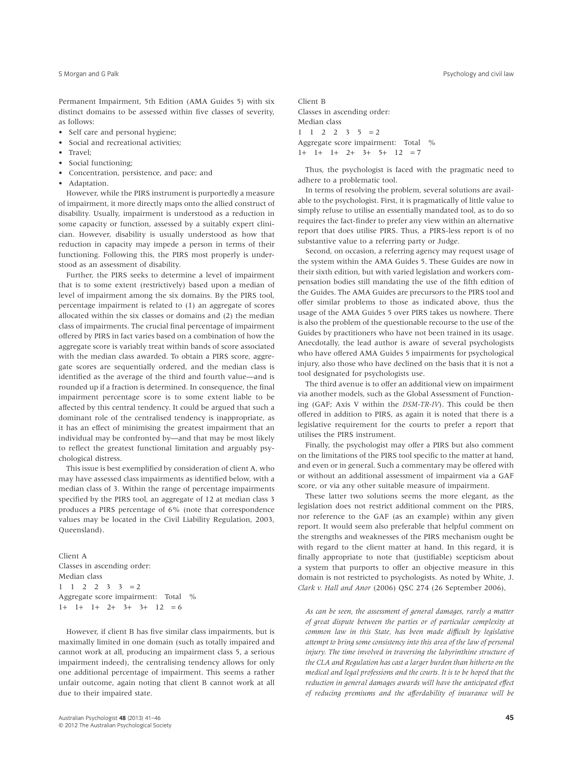Permanent Impairment, 5th Edition (AMA Guides 5) with six distinct domains to be assessed within five classes of severity, as follows:

- Self care and personal hygiene;
- Social and recreational activities:
- Travel;
- Social functioning;
- Concentration, persistence, and pace; and
- Adaptation.

However, while the PIRS instrument is purportedly a measure of impairment, it more directly maps onto the allied construct of disability. Usually, impairment is understood as a reduction in some capacity or function, assessed by a suitably expert clinician. However, disability is usually understood as how that reduction in capacity may impede a person in terms of their functioning. Following this, the PIRS most properly is understood as an assessment of disability.

Further, the PIRS seeks to determine a level of impairment that is to some extent (restrictively) based upon a median of level of impairment among the six domains. By the PIRS tool, percentage impairment is related to (1) an aggregate of scores allocated within the six classes or domains and (2) the median class of impairments. The crucial final percentage of impairment offered by PIRS in fact varies based on a combination of how the aggregate score is variably treat within bands of score associated with the median class awarded. To obtain a PIRS score, aggregate scores are sequentially ordered, and the median class is identified as the average of the third and fourth value—and is rounded up if a fraction is determined. In consequence, the final impairment percentage score is to some extent liable to be affected by this central tendency. It could be argued that such a dominant role of the centralised tendency is inappropriate, as it has an effect of minimising the greatest impairment that an individual may be confronted by—and that may be most likely to reflect the greatest functional limitation and arguably psychological distress.

This issue is best exemplified by consideration of client A, who may have assessed class impairments as identified below, with a median class of 3. Within the range of percentage impairments specified by the PIRS tool, an aggregate of 12 at median class 3 produces a PIRS percentage of 6% (note that correspondence values may be located in the Civil Liability Regulation, 2003, Queensland).

Client A Classes in ascending order: Median class  $1 \t1 \t2 \t2 \t3 \t3 = 2$ Aggregate score impairment: Total %  $1+ 1+ 1+ 2+ 3+ 3+ 12 = 6$ 

However, if client B has five similar class impairments, but is maximally limited in one domain (such as totally impaired and cannot work at all, producing an impairment class 5, a serious impairment indeed), the centralising tendency allows for only one additional percentage of impairment. This seems a rather unfair outcome, again noting that client B cannot work at all due to their impaired state.

Client B Classes in ascending order: Median class  $1 \t1 \t2 \t2 \t3 \t5 = 2$ Aggregate score impairment: Total % 1+ 1+ 1+ 2+ 3+ 5+ 12 = 7

Thus, the psychologist is faced with the pragmatic need to adhere to a problematic tool.

In terms of resolving the problem, several solutions are available to the psychologist. First, it is pragmatically of little value to simply refuse to utilise an essentially mandated tool, as to do so requires the fact-finder to prefer any view within an alternative report that does utilise PIRS. Thus, a PIRS-less report is of no substantive value to a referring party or Judge.

Second, on occasion, a referring agency may request usage of the system within the AMA Guides 5. These Guides are now in their sixth edition, but with varied legislation and workers compensation bodies still mandating the use of the fifth edition of the Guides. The AMA Guides are precursors to the PIRS tool and offer similar problems to those as indicated above, thus the usage of the AMA Guides 5 over PIRS takes us nowhere. There is also the problem of the questionable recourse to the use of the Guides by practitioners who have not been trained in its usage. Anecdotally, the lead author is aware of several psychologists who have offered AMA Guides 5 impairments for psychological injury, also those who have declined on the basis that it is not a tool designated for psychologists use.

The third avenue is to offer an additional view on impairment via another models, such as the Global Assessment of Functioning (GAF; Axis V within the *DSM-TR-IV*). This could be then offered in addition to PIRS, as again it is noted that there is a legislative requirement for the courts to prefer a report that utilises the PIRS instrument.

Finally, the psychologist may offer a PIRS but also comment on the limitations of the PIRS tool specific to the matter at hand, and even or in general. Such a commentary may be offered with or without an additional assessment of impairment via a GAF score, or via any other suitable measure of impairment.

These latter two solutions seems the more elegant, as the legislation does not restrict additional comment on the PIRS, nor reference to the GAF (as an example) within any given report. It would seem also preferable that helpful comment on the strengths and weaknesses of the PIRS mechanism ought be with regard to the client matter at hand. In this regard, it is finally appropriate to note that (justifiable) scepticism about a system that purports to offer an objective measure in this domain is not restricted to psychologists. As noted by White, J. *Clark v. Hall and Anor* (2006) QSC 274 (26 September 2006),

*As can be seen, the assessment of general damages, rarely a matter of great dispute between the parties or of particular complexity at common law in this State, has been made difficult by legislative attempt to bring some consistency into this area of the law of personal injury. The time involved in traversing the labyrinthine structure of the CLA and Regulation has cast a larger burden than hitherto on the medical and legal professions and the courts. It is to be hoped that the reduction in general damages awards will have the anticipated effect of reducing premiums and the affordability of insurance will be*